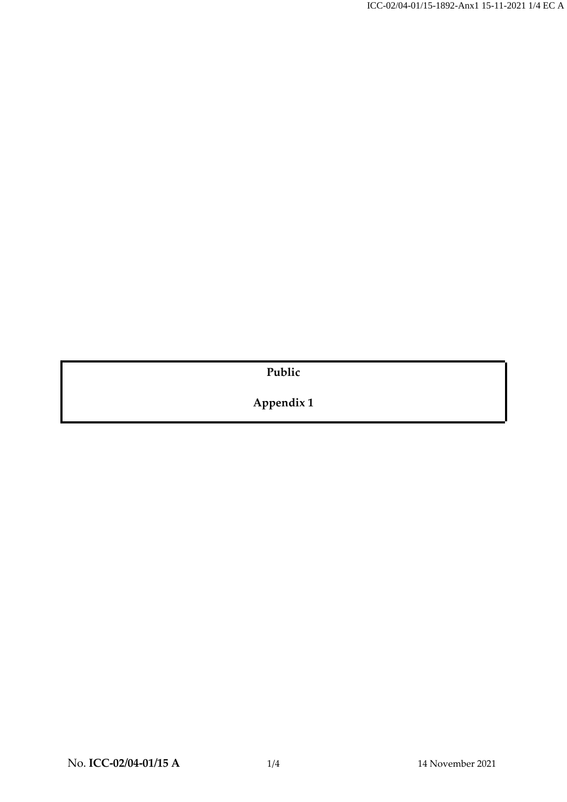**Public**

**Appendix 1**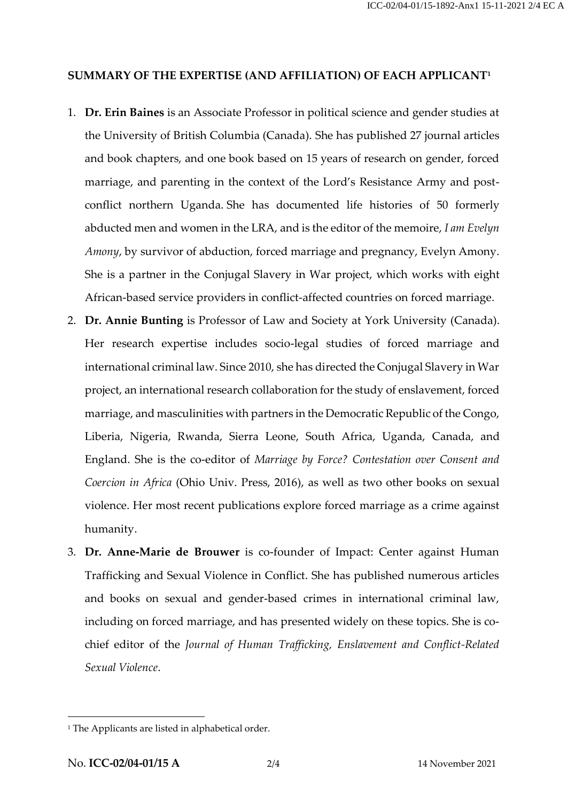## **SUMMARY OF THE EXPERTISE (AND AFFILIATION) OF EACH APPLICANT<sup>1</sup>**

- 1. **Dr. Erin Baines** is an Associate Professor in political science and gender studies at the University of British Columbia (Canada). She has published 27 journal articles and book chapters, and one book based on 15 years of research on gender, forced marriage, and parenting in the context of the Lord's Resistance Army and postconflict northern Uganda. She has documented life histories of 50 formerly abducted men and women in the LRA, and is the editor of the memoire, *I am Evelyn Amony*, by survivor of abduction, forced marriage and pregnancy, Evelyn Amony. She is a partner in the Conjugal Slavery in War project, which works with eight African-based service providers in conflict-affected countries on forced marriage.
- 2. **Dr. Annie Bunting** is Professor of Law and Society at York University (Canada). Her research expertise includes socio-legal studies of forced marriage and international criminal law. Since 2010, she has directed the Conjugal Slavery in War project, an international research collaboration for the study of enslavement, forced marriage, and masculinities with partners in the Democratic Republic of the Congo, Liberia, Nigeria, Rwanda, Sierra Leone, South Africa, Uganda, Canada, and England. She is the co-editor of *Marriage by Force? Contestation over Consent and Coercion in Africa* (Ohio Univ. Press, 2016), as well as two other books on sexual violence. Her most recent publications explore forced marriage as a crime against humanity.
- 3. **Dr. Anne-Marie de Brouwer** is co-founder of Impact: Center against Human Trafficking and Sexual Violence in Conflict. She has published numerous articles and books on sexual and gender-based crimes in international criminal law, including on forced marriage, and has presented widely on these topics. She is cochief editor of the *Journal of Human Trafficking, Enslavement and Conflict-Related Sexual Violence*.

<sup>&</sup>lt;sup>1</sup> The Applicants are listed in alphabetical order.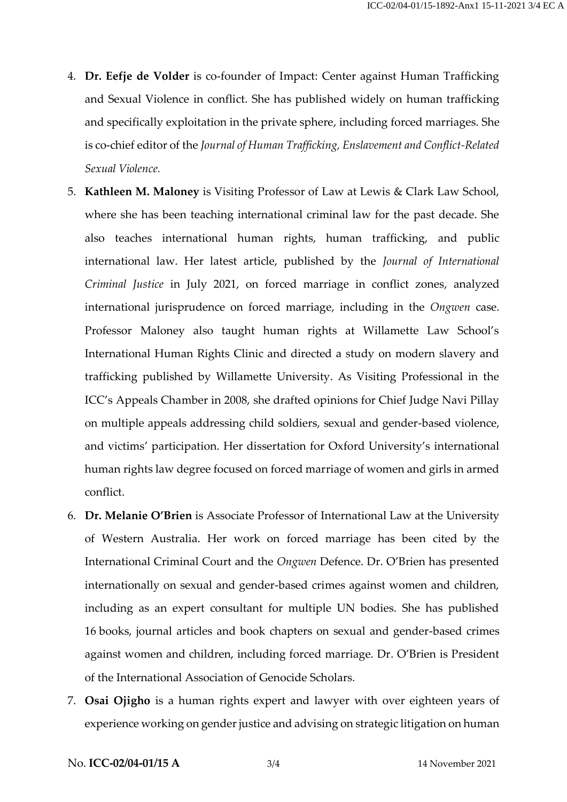- 4. **Dr. Eefje de Volder** is co-founder of Impact: Center against Human Trafficking and Sexual Violence in conflict. She has published widely on human trafficking and specifically exploitation in the private sphere, including forced marriages. She is co-chief editor of the *Journal of Human Trafficking, Enslavement and Conflict-Related Sexual Violence.*
- 5. **Kathleen M. Maloney** is Visiting Professor of Law at Lewis & Clark Law School, where she has been teaching international criminal law for the past decade. She also teaches international human rights, human trafficking, and public international law. Her latest article, published by the *Journal of International Criminal Justice* in July 2021, on forced marriage in conflict zones, analyzed international jurisprudence on forced marriage, including in the *Ongwen* case. Professor Maloney also taught human rights at Willamette Law School's International Human Rights Clinic and directed a study on modern slavery and trafficking published by Willamette University. As Visiting Professional in the ICC's Appeals Chamber in 2008, she drafted opinions for Chief Judge Navi Pillay on multiple appeals addressing child soldiers, sexual and gender-based violence, and victims' participation. Her dissertation for Oxford University's international human rights law degree focused on forced marriage of women and girls in armed conflict.
- 6. **Dr. Melanie O'Brien** is Associate Professor of International Law at the University of Western Australia. Her work on forced marriage has been cited by the International Criminal Court and the *Ongwen* Defence. Dr. O'Brien has presented internationally on sexual and gender-based crimes against women and children, including as an expert consultant for multiple UN bodies. She has published 16 books, journal articles and book chapters on sexual and gender-based crimes against women and children, including forced marriage. Dr. O'Brien is President of the International Association of Genocide Scholars.
- 7. **Osai Ojigho** is a human rights expert and lawyer with over eighteen years of experience working on gender justice and advising on strategic litigation on human